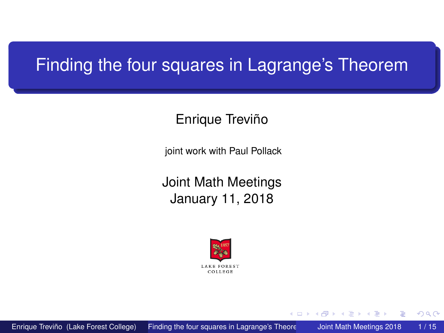# <span id="page-0-0"></span>Finding the four squares in Lagrange's Theorem

#### Enrique Treviño

joint work with Paul Pollack

Joint Math Meetings January 11, 2018



 $+$   $+$   $+$   $-$ 

 $\sim$ **The Second**  $-4$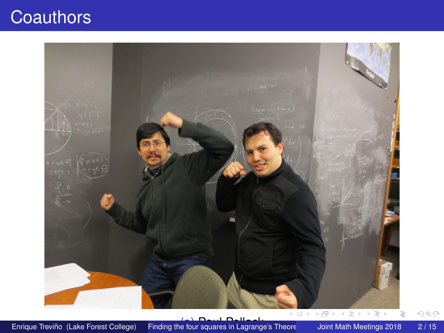# **Coauthors**

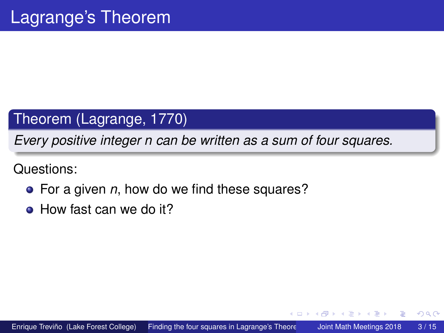## Theorem (Lagrange, 1770)

*Every positive integer n can be written as a sum of four squares.*

Questions:

- For a given *n*, how do we find these squares?
- How fast can we do it?

4 ロ ト ィ *同* ト

3 E X 3 E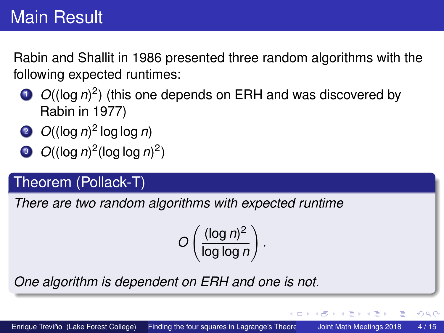Rabin and Shallit in 1986 presented three random algorithms with the following expected runtimes:

- $O((\log n)^2)$  (this one depends on ERH and was discovered by Rabin in 1977)
- <sup>2</sup> *O*((log *n*) 2 log log *n*)
- $\int$   $O((\log n)^2(\log \log n)^2)$

## Theorem (Pollack-T)

*There are two random algorithms with expected runtime*

$$
O\left(\frac{(\log n)^2}{\log\log n}\right).
$$

*One algorithm is dependent on ERH and one is not.*

4 ロ ト ィ *同* ト

 $\rightarrow$   $\rightarrow$   $\rightarrow$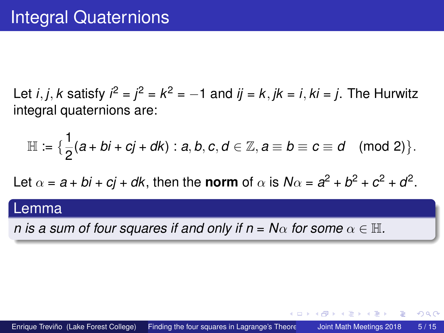Let *i*, *j*, *k* satisfy  $i^2 = j^2 = k^2 = -1$  and  $ij = k$ ,  $jk = i$ ,  $ki = j$ . The Hurwitz integral quaternions are:

$$
\mathbb{H} := \{ \frac{1}{2}(a + bi + cj + dk) : a, b, c, d \in \mathbb{Z}, a \equiv b \equiv c \equiv d \pmod{2} \}.
$$

Let  $\alpha = a + bi + cj + dk$ , then the **norm** of  $\alpha$  is  $N\alpha = a^2 + b^2 + c^2 + d^2$ .

#### Lemma

*n* is a sum of four squares if and only if  $n = N\alpha$  for some  $\alpha \in \mathbb{H}$ .

4 ロ ト ィ *同* ト

医单位 医单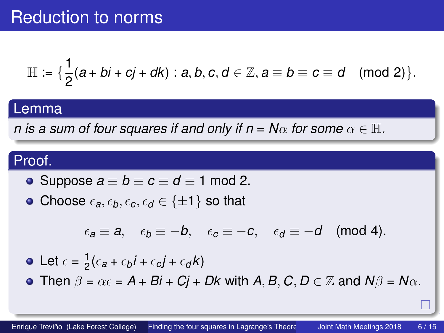$$
\mathbb{H} := \{ \frac{1}{2}(a + bi + cj + dk) : a, b, c, d \in \mathbb{Z}, a \equiv b \equiv c \equiv d \pmod{2} \}.
$$

#### Lemma

*n* is a sum of four squares if and only if  $n = N\alpha$  for some  $\alpha \in \mathbb{H}$ .

## Proof.

• Suppose 
$$
a \equiv b \equiv c \equiv d \equiv 1 \mod 2
$$
.

• Choose  $\epsilon_a, \epsilon_b, \epsilon_c, \epsilon_d \in \{\pm 1\}$  so that

$$
\epsilon_a\equiv a,\quad \epsilon_b\equiv -b,\quad \epsilon_c\equiv -c,\quad \epsilon_d\equiv -d\pmod{4}.
$$

• Let 
$$
\epsilon = \frac{1}{2} (\epsilon_a + \epsilon_b i + \epsilon_c j + \epsilon_d k)
$$

**•** Then  $\beta = \alpha \epsilon = A + B\mathbf{i} + C\mathbf{j} + D\mathbf{k}$  with  $A, B, C, D \in \mathbb{Z}$  and  $N\beta = N\alpha$ .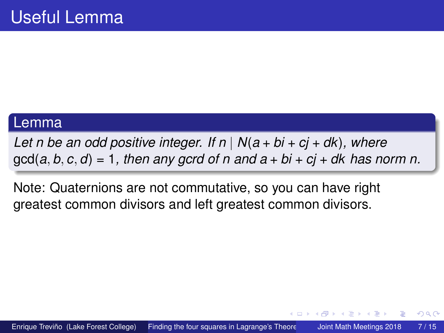#### Lemma

*Let n be an odd positive integer. If*  $n | N(a + bi + cj + dk)$ *, where*  $gcd(a, b, c, d) = 1$ , then any gcrd of n and  $a + bi + ci + dk$  has norm n.

Note: Quaternions are not commutative, so you can have right greatest common divisors and left greatest common divisors.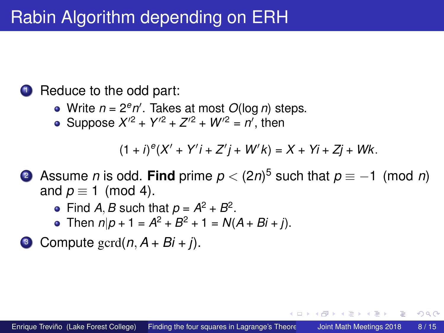# Rabin Algorithm depending on ERH

### **1** Reduce to the odd part:

- Write  $n = 2<sup>e</sup>n'$ . Takes at most *O*(log *n*) steps.
- Suppose  $X^{2}$  +  $Y^{2}$  +  $Z^{2}$  +  $W^{2}$  =  $n'$ , then

 $(1 + i)^{e}(X' + Y'i + Z'j + W'k) = X + Yi + Zj + Wk.$ 

- <sup>2</sup> Assume *n* is odd. **Find** prime *p <* (2*n*) <sup>5</sup> such that *p* ≡ −1 (mod *n*) and  $p \equiv 1 \pmod{4}$ .
	- Find *A*, *B* such that  $p = A^2 + B^2$ .
	- Then  $n|p + 1 = A^2 + B^2 + 1 = N(A + Bi + j)$ .
- <sup>3</sup> Compute gcrd(*n, A* + *Bi* + *j*).

 $\leftarrow$   $\Box$   $\rightarrow$   $\leftarrow$   $\Box$   $\rightarrow$ 

. . . . . **.**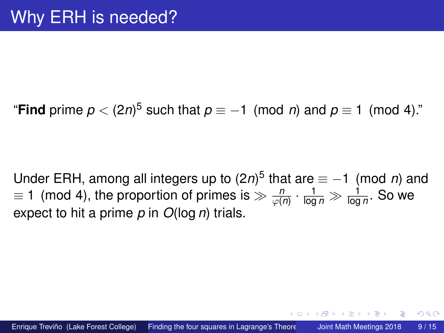"**Find** prime  $p < (2n)^5$  such that  $p \equiv -1 \pmod{n}$  and  $p \equiv 1 \pmod{4}$ ."

Under ERH, among all integers up to (2*n*)<sup>5</sup> that are  $\equiv$  −1 (mod *n*) and  $t\equiv 1\pmod{4}$ , the proportion of primes is  $\gg \frac{n}{\varphi(n)}\cdot \frac{1}{\log n}\gg \frac{1}{\log n}.$  So we expect to hit a prime *p* in *O*(log *n*) trials.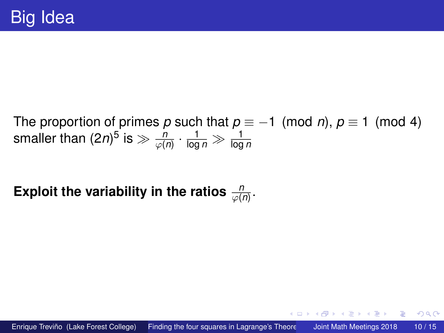The proportion of primes *p* such that  $p \equiv -1 \pmod{n}$ ,  $p \equiv 1 \pmod{4}$ smaller than  $(2n)^5$  is  $\gg \frac{n}{\varphi(n)} \cdot \frac{1}{\log n} \gg \frac{1}{\log n}$ 

Exploit the variability in the ratios  $\frac{n}{\varphi(n)}.$ 

医单位 医单

∢ □ ▶ ィ <sup>□</sup> ▶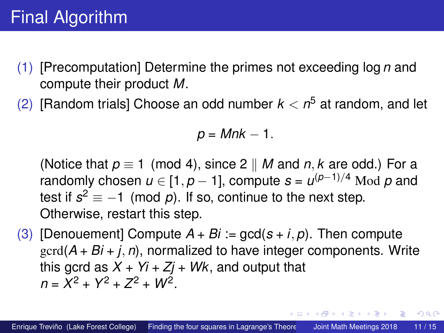- (1) [Precomputation] Determine the primes not exceeding log *n* and compute their product *M*.
- (2) [Random trials] Choose an odd number *k < n* <sup>5</sup> at random, and let

$$
p = Mnk - 1.
$$

(Notice that  $p \equiv 1 \pmod{4}$ , since 2 || *M* and *n*, *k* are odd.) For a randomly chosen *u* ∈ [1*, p* − 1], compute *s* = *u* (*p*−1)*/*<sup>4</sup> Mod *p* and test if  $s^2 \equiv -1 \pmod{p}$ . If so, continue to the next step. Otherwise, restart this step.

(3) [Denouement] Compute  $A + Bi := \text{gcd}(s + i, p)$ . Then compute gcrd(*A* + *Bi* + *j, n*), normalized to have integer components. Write this gcrd as  $X + Y_i + Z_j + W_k$ , and output that  $n = X^2 + Y^2 + Z^2 + W^2$ .

イロト イ押 トイラト イラト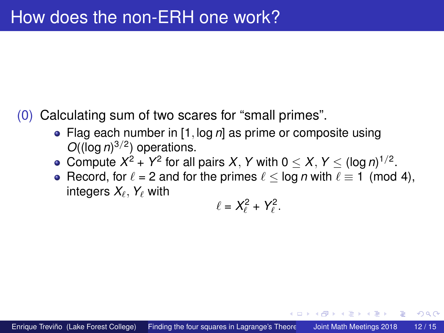- (0) Calculating sum of two scares for "small primes".
	- Flag each number in [1*,* log *n*] as prime or composite using *O*((log *n*) 3*/*2 ) operations.
	- Compute  $X^2 + Y^2$  for all pairs *X*, *Y* with  $0 \le X, Y \le (\log n)^{1/2}$ .
	- Record, for  $\ell = 2$  and for the primes  $\ell < \log n$  with  $\ell \equiv 1 \pmod{4}$ , integers  $X_{\ell}$ ,  $Y_{\ell}$  with

$$
\ell=X_\ell^2+Y_\ell^2.
$$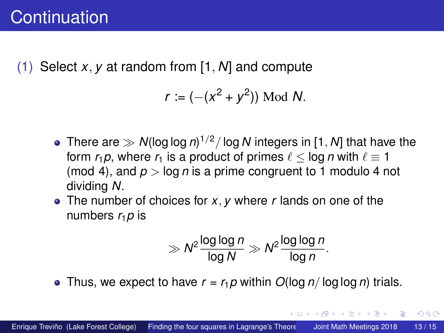(1) Select *x, y* at random from [1*, N*] and compute

$$
r := (-(x^2 + y^2))
$$
 Mod N.

- There are *N*(log log *n*) <sup>1</sup>*/*<sup>2</sup>*/* log *N* integers in [1*, N*] that have the form  $r_1p$ , where  $r_1$  is a product of primes  $\ell$  < log *n* with  $\ell \equiv 1$ (mod 4), and  $p > \log n$  is a prime congruent to 1 modulo 4 not dividing *N*.
- The number of choices for *x, y* where *r* lands on one of the numbers  $r_1$ *p* is

$$
\gg N^2 \frac{\log \log n}{\log N} \gg N^2 \frac{\log \log n}{\log n}.
$$

イロト イ押ト イヨト イヨ

 $\Omega$ 

• Thus, we expect to have  $r = r_1 p$  within  $O(\log n / \log \log n)$  trials.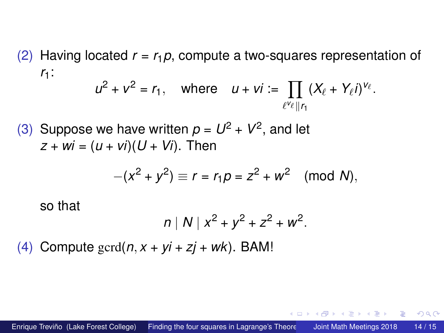(2) Having located *r* = *r*1*p*, compute a two-squares representation of *r*1:

$$
u^2 + v^2 = r_1
$$
, where  $u + vi := \prod_{\ell^{\vee_{\ell}} || r_1} (X_{\ell} + Y_{\ell}i)^{\vee_{\ell}}$ .

(3) Suppose we have written  $p = U^2 + V^2$ , and let  $z + wi = (u + vi)(U + Vi)$ . Then

$$
-(x^2 + y^2) \equiv r = r_1 p = z^2 + w^2 \pmod{N},
$$

so that

$$
n | N | x^2 + y^2 + z^2 + w^2.
$$

(4) Compute  $\text{gcd}(n, x + yi + zi + wk)$ . BAM!